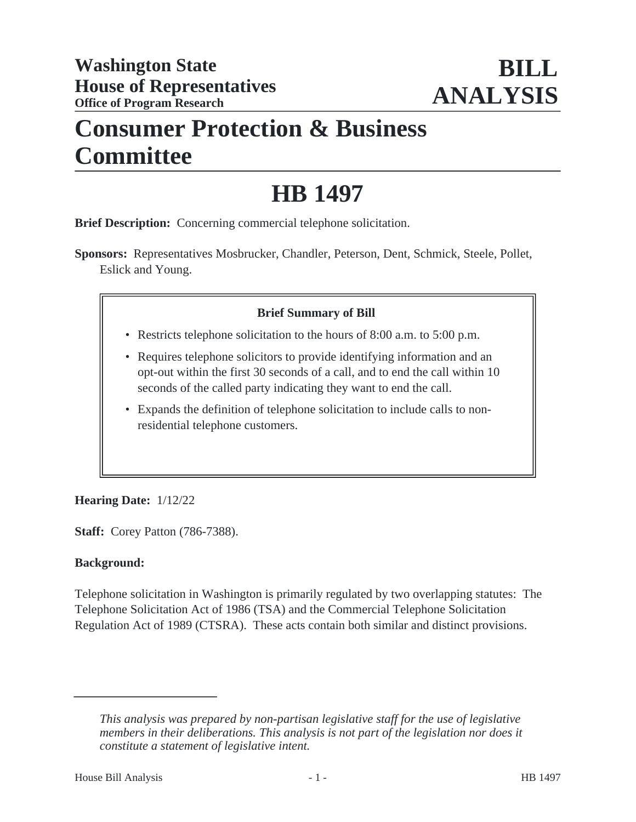## **Consumer Protection & Business Committee**

# **HB 1497**

**Brief Description:** Concerning commercial telephone solicitation.

**Sponsors:** Representatives Mosbrucker, Chandler, Peterson, Dent, Schmick, Steele, Pollet, Eslick and Young.

## **Brief Summary of Bill**

- Restricts telephone solicitation to the hours of 8:00 a.m. to 5:00 p.m.
- Requires telephone solicitors to provide identifying information and an opt-out within the first 30 seconds of a call, and to end the call within 10 seconds of the called party indicating they want to end the call.
- Expands the definition of telephone solicitation to include calls to non-• residential telephone customers.

## **Hearing Date:** 1/12/22

**Staff:** Corey Patton (786-7388).

#### **Background:**

Telephone solicitation in Washington is primarily regulated by two overlapping statutes: The Telephone Solicitation Act of 1986 (TSA) and the Commercial Telephone Solicitation Regulation Act of 1989 (CTSRA). These acts contain both similar and distinct provisions.

*This analysis was prepared by non-partisan legislative staff for the use of legislative members in their deliberations. This analysis is not part of the legislation nor does it constitute a statement of legislative intent.*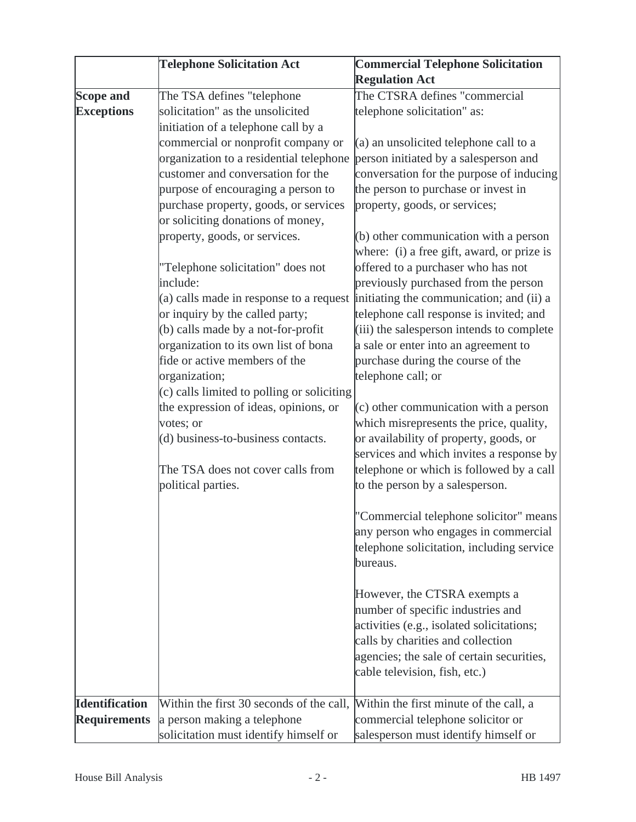|                       | <b>Telephone Solicitation Act</b>            | <b>Commercial Telephone Solicitation</b>                                              |
|-----------------------|----------------------------------------------|---------------------------------------------------------------------------------------|
|                       |                                              | <b>Regulation Act</b>                                                                 |
| <b>Scope and</b>      | The TSA defines "telephone                   | The CTSRA defines "commercial                                                         |
| <b>Exceptions</b>     | solicitation" as the unsolicited             | telephone solicitation" as:                                                           |
|                       | initiation of a telephone call by a          |                                                                                       |
|                       | commercial or nonprofit company or           | $(a)$ an unsolicited telephone call to a                                              |
|                       | organization to a residential telephone      | person initiated by a salesperson and                                                 |
|                       | customer and conversation for the            | conversation for the purpose of inducing                                              |
|                       | purpose of encouraging a person to           | the person to purchase or invest in                                                   |
|                       | purchase property, goods, or services        | property, goods, or services;                                                         |
|                       | or soliciting donations of money,            |                                                                                       |
|                       | property, goods, or services.                | $(b)$ other communication with a person<br>where: (i) a free gift, award, or prize is |
|                       | "Telephone solicitation" does not            | offered to a purchaser who has not                                                    |
|                       | include:                                     | previously purchased from the person                                                  |
|                       |                                              | (a) calls made in response to a request initiating the communication; and (ii) a      |
|                       | or inquiry by the called party;              | telephone call response is invited; and                                               |
|                       | (b) calls made by a not-for-profit           | (iii) the salesperson intends to complete                                             |
|                       | organization to its own list of bona         | a sale or enter into an agreement to                                                  |
|                       | fide or active members of the                | purchase during the course of the                                                     |
|                       | organization;                                | telephone call; or                                                                    |
|                       | $(c)$ calls limited to polling or soliciting |                                                                                       |
|                       | the expression of ideas, opinions, or        | $(c)$ other communication with a person                                               |
|                       | votes; or                                    | which misrepresents the price, quality,                                               |
|                       | (d) business-to-business contacts.           | or availability of property, goods, or                                                |
|                       |                                              | services and which invites a response by                                              |
|                       | The TSA does not cover calls from            | telephone or which is followed by a call                                              |
|                       | political parties.                           | to the person by a salesperson.                                                       |
|                       |                                              | "Commercial telephone solicitor" means                                                |
|                       |                                              | any person who engages in commercial                                                  |
|                       |                                              | telephone solicitation, including service                                             |
|                       |                                              | bureaus.                                                                              |
|                       |                                              | However, the CTSRA exempts a                                                          |
|                       |                                              | number of specific industries and                                                     |
|                       |                                              | activities (e.g., isolated solicitations;                                             |
|                       |                                              | calls by charities and collection                                                     |
|                       |                                              | agencies; the sale of certain securities,                                             |
|                       |                                              | cable television, fish, etc.)                                                         |
| <b>Identification</b> | Within the first 30 seconds of the call,     | Within the first minute of the call, a                                                |
| <b>Requirements</b>   | a person making a telephone                  | commercial telephone solicitor or                                                     |
|                       | solicitation must identify himself or        | salesperson must identify himself or                                                  |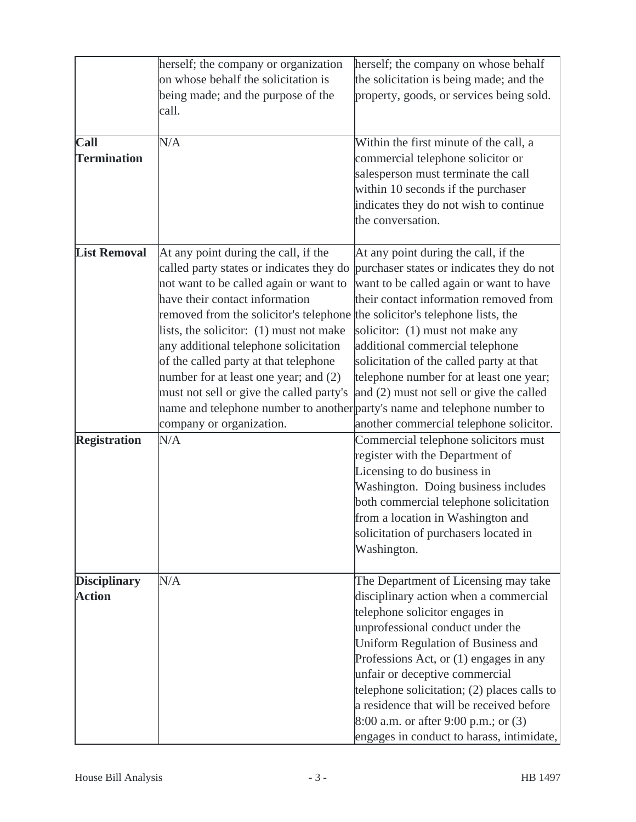|                     | herself; the company or organization                                        | herself; the company on whose behalf                                      |
|---------------------|-----------------------------------------------------------------------------|---------------------------------------------------------------------------|
|                     | on whose behalf the solicitation is                                         | the solicitation is being made; and the                                   |
|                     | being made; and the purpose of the                                          | property, goods, or services being sold.                                  |
|                     | call.                                                                       |                                                                           |
|                     |                                                                             |                                                                           |
| <b>Call</b>         | N/A                                                                         | Within the first minute of the call, a                                    |
| <b>Termination</b>  |                                                                             | commercial telephone solicitor or                                         |
|                     |                                                                             | salesperson must terminate the call                                       |
|                     |                                                                             | within 10 seconds if the purchaser                                        |
|                     |                                                                             | indicates they do not wish to continue                                    |
|                     |                                                                             | the conversation.                                                         |
| <b>List Removal</b> | At any point during the call, if the                                        | At any point during the call, if the                                      |
|                     | called party states or indicates they do                                    | purchaser states or indicates they do not                                 |
|                     | not want to be called again or want to                                      | want to be called again or want to have                                   |
|                     | have their contact information                                              | their contact information removed from                                    |
|                     | removed from the solicitor's telephone the solicitor's telephone lists, the |                                                                           |
|                     | lists, the solicitor: (1) must not make                                     | solicitor: (1) must not make any                                          |
|                     | any additional telephone solicitation                                       | additional commercial telephone                                           |
|                     | of the called party at that telephone                                       | solicitation of the called party at that                                  |
|                     | number for at least one year; and (2)                                       | telephone number for at least one year;                                   |
|                     | must not sell or give the called party's                                    | and (2) must not sell or give the called                                  |
|                     |                                                                             | name and telephone number to another party's name and telephone number to |
|                     | company or organization.                                                    | another commercial telephone solicitor.                                   |
| <b>Registration</b> | N/A                                                                         | Commercial telephone solicitors must                                      |
|                     |                                                                             | register with the Department of                                           |
|                     |                                                                             | Licensing to do business in                                               |
|                     |                                                                             | Washington. Doing business includes                                       |
|                     |                                                                             | both commercial telephone solicitation                                    |
|                     |                                                                             | from a location in Washington and                                         |
|                     |                                                                             | solicitation of purchasers located in                                     |
|                     |                                                                             | Washington.                                                               |
|                     |                                                                             |                                                                           |
| <b>Disciplinary</b> | N/A                                                                         | The Department of Licensing may take                                      |
| <b>Action</b>       |                                                                             | disciplinary action when a commercial                                     |
|                     |                                                                             | telephone solicitor engages in                                            |
|                     |                                                                             | unprofessional conduct under the                                          |
|                     |                                                                             | Uniform Regulation of Business and                                        |
|                     |                                                                             | Professions Act, or (1) engages in any                                    |
|                     |                                                                             | unfair or deceptive commercial                                            |
|                     |                                                                             | telephone solicitation; $(2)$ places calls to                             |
|                     |                                                                             | a residence that will be received before                                  |
|                     |                                                                             | 8:00 a.m. or after 9:00 p.m.; or (3)                                      |
|                     |                                                                             | engages in conduct to harass, intimidate,                                 |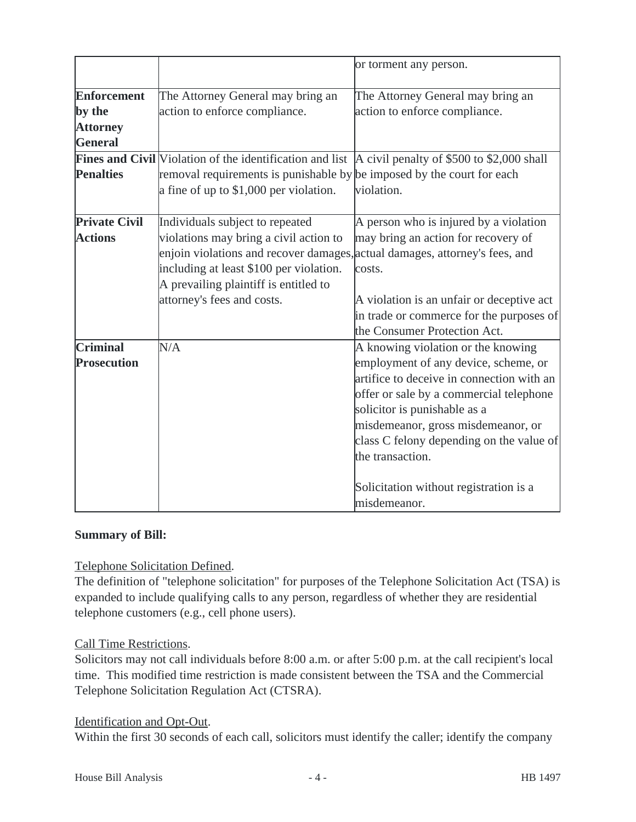|                      |                                                                                                                   | or torment any person.                    |
|----------------------|-------------------------------------------------------------------------------------------------------------------|-------------------------------------------|
| <b>Enforcement</b>   | The Attorney General may bring an                                                                                 | The Attorney General may bring an         |
| by the               | action to enforce compliance.                                                                                     | action to enforce compliance.             |
| <b>Attorney</b>      |                                                                                                                   |                                           |
| <b>General</b>       |                                                                                                                   |                                           |
|                      | <b>Fines and Civil</b> Violation of the identification and list $\vert$ A civil penalty of \$500 to \$2,000 shall |                                           |
| <b>Penalties</b>     | removal requirements is punishable by be imposed by the court for each                                            |                                           |
|                      | a fine of up to $$1,000$ per violation.                                                                           | violation.                                |
| <b>Private Civil</b> | Individuals subject to repeated                                                                                   | A person who is injured by a violation    |
| <b>Actions</b>       | violations may bring a civil action to                                                                            | may bring an action for recovery of       |
|                      | enjoin violations and recover damages, actual damages, attorney's fees, and                                       |                                           |
|                      | including at least \$100 per violation.                                                                           | costs.                                    |
|                      | A prevailing plaintiff is entitled to                                                                             |                                           |
|                      | attorney's fees and costs.                                                                                        | A violation is an unfair or deceptive act |
|                      |                                                                                                                   | in trade or commerce for the purposes of  |
|                      |                                                                                                                   | the Consumer Protection Act.              |
| <b>Criminal</b>      | N/A                                                                                                               | A knowing violation or the knowing        |
| <b>Prosecution</b>   |                                                                                                                   | employment of any device, scheme, or      |
|                      |                                                                                                                   | artifice to deceive in connection with an |
|                      |                                                                                                                   | offer or sale by a commercial telephone   |
|                      |                                                                                                                   | solicitor is punishable as a              |
|                      |                                                                                                                   | misdemeanor, gross misdemeanor, or        |
|                      |                                                                                                                   | class C felony depending on the value of  |
|                      |                                                                                                                   | the transaction.                          |
|                      |                                                                                                                   | Solicitation without registration is a    |
|                      |                                                                                                                   | misdemeanor.                              |

#### **Summary of Bill:**

Telephone Solicitation Defined.

The definition of "telephone solicitation" for purposes of the Telephone Solicitation Act (TSA) is expanded to include qualifying calls to any person, regardless of whether they are residential telephone customers (e.g., cell phone users).

#### Call Time Restrictions.

Solicitors may not call individuals before 8:00 a.m. or after 5:00 p.m. at the call recipient's local time. This modified time restriction is made consistent between the TSA and the Commercial Telephone Solicitation Regulation Act (CTSRA).

#### Identification and Opt-Out.

Within the first 30 seconds of each call, solicitors must identify the caller; identify the company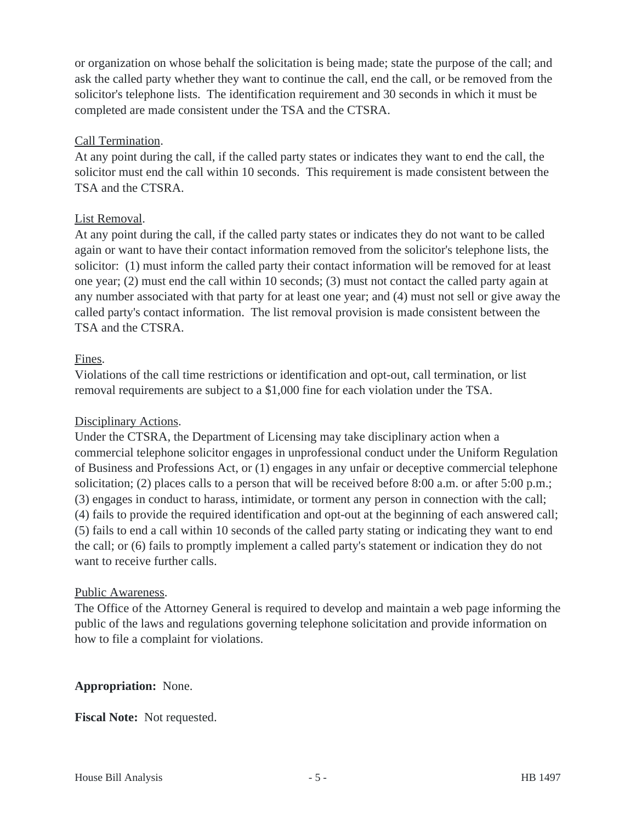or organization on whose behalf the solicitation is being made; state the purpose of the call; and ask the called party whether they want to continue the call, end the call, or be removed from the solicitor's telephone lists. The identification requirement and 30 seconds in which it must be completed are made consistent under the TSA and the CTSRA.

#### Call Termination.

At any point during the call, if the called party states or indicates they want to end the call, the solicitor must end the call within 10 seconds. This requirement is made consistent between the TSA and the CTSRA.

#### List Removal.

At any point during the call, if the called party states or indicates they do not want to be called again or want to have their contact information removed from the solicitor's telephone lists, the solicitor: (1) must inform the called party their contact information will be removed for at least one year; (2) must end the call within 10 seconds; (3) must not contact the called party again at any number associated with that party for at least one year; and (4) must not sell or give away the called party's contact information. The list removal provision is made consistent between the TSA and the CTSRA.

#### Fines.

Violations of the call time restrictions or identification and opt-out, call termination, or list removal requirements are subject to a \$1,000 fine for each violation under the TSA.

#### Disciplinary Actions.

Under the CTSRA, the Department of Licensing may take disciplinary action when a commercial telephone solicitor engages in unprofessional conduct under the Uniform Regulation of Business and Professions Act, or (1) engages in any unfair or deceptive commercial telephone solicitation; (2) places calls to a person that will be received before 8:00 a.m. or after 5:00 p.m.; (3) engages in conduct to harass, intimidate, or torment any person in connection with the call; (4) fails to provide the required identification and opt-out at the beginning of each answered call; (5) fails to end a call within 10 seconds of the called party stating or indicating they want to end the call; or (6) fails to promptly implement a called party's statement or indication they do not want to receive further calls.

#### Public Awareness.

The Office of the Attorney General is required to develop and maintain a web page informing the public of the laws and regulations governing telephone solicitation and provide information on how to file a complaint for violations.

#### **Appropriation:** None.

**Fiscal Note:** Not requested.